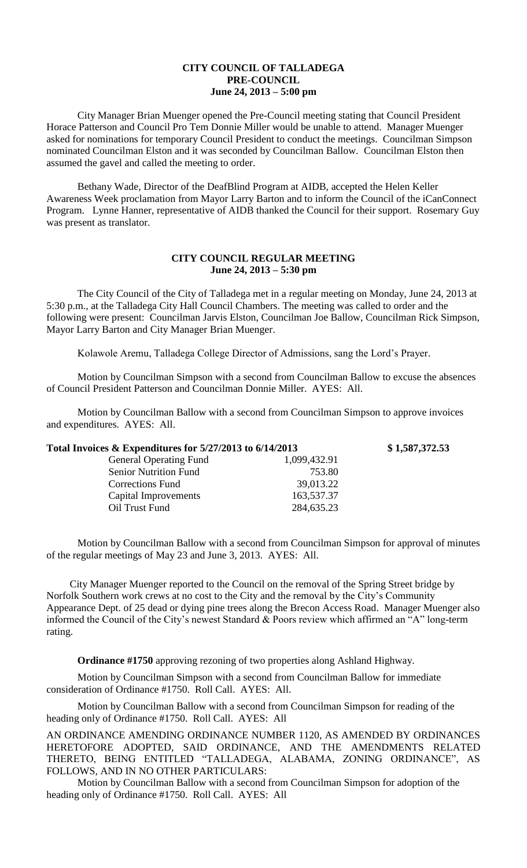## **CITY COUNCIL OF TALLADEGA PRE-COUNCIL June 24, 2013 – 5:00 pm**

City Manager Brian Muenger opened the Pre-Council meeting stating that Council President Horace Patterson and Council Pro Tem Donnie Miller would be unable to attend. Manager Muenger asked for nominations for temporary Council President to conduct the meetings. Councilman Simpson nominated Councilman Elston and it was seconded by Councilman Ballow. Councilman Elston then assumed the gavel and called the meeting to order.

Bethany Wade, Director of the DeafBlind Program at AIDB, accepted the Helen Keller Awareness Week proclamation from Mayor Larry Barton and to inform the Council of the iCanConnect Program. Lynne Hanner, representative of AIDB thanked the Council for their support. Rosemary Guy was present as translator.

## **CITY COUNCIL REGULAR MEETING June 24, 2013 – 5:30 pm**

The City Council of the City of Talladega met in a regular meeting on Monday, June 24, 2013 at 5:30 p.m., at the Talladega City Hall Council Chambers. The meeting was called to order and the following were present: Councilman Jarvis Elston, Councilman Joe Ballow, Councilman Rick Simpson, Mayor Larry Barton and City Manager Brian Muenger.

Kolawole Aremu, Talladega College Director of Admissions, sang the Lord's Prayer.

Motion by Councilman Simpson with a second from Councilman Ballow to excuse the absences of Council President Patterson and Councilman Donnie Miller. AYES: All.

Motion by Councilman Ballow with a second from Councilman Simpson to approve invoices and expenditures. AYES: All.

| Total Invoices & Expenditures for 5/27/2013 to 6/14/2013 |              | \$1,587,372.53 |
|----------------------------------------------------------|--------------|----------------|
| <b>General Operating Fund</b>                            | 1,099,432.91 |                |
| <b>Senior Nutrition Fund</b>                             | 753.80       |                |
| <b>Corrections Fund</b>                                  | 39,013.22    |                |
| Capital Improvements                                     | 163,537.37   |                |
| Oil Trust Fund                                           | 284,635.23   |                |

Motion by Councilman Ballow with a second from Councilman Simpson for approval of minutes of the regular meetings of May 23 and June 3, 2013. AYES: All.

City Manager Muenger reported to the Council on the removal of the Spring Street bridge by Norfolk Southern work crews at no cost to the City and the removal by the City's Community Appearance Dept. of 25 dead or dying pine trees along the Brecon Access Road. Manager Muenger also informed the Council of the City's newest Standard & Poors review which affirmed an "A" long-term rating.

**Ordinance #1750** approving rezoning of two properties along Ashland Highway.

Motion by Councilman Simpson with a second from Councilman Ballow for immediate consideration of Ordinance #1750. Roll Call. AYES: All.

Motion by Councilman Ballow with a second from Councilman Simpson for reading of the heading only of Ordinance #1750. Roll Call. AYES: All

AN ORDINANCE AMENDING ORDINANCE NUMBER 1120, AS AMENDED BY ORDINANCES HERETOFORE ADOPTED, SAID ORDINANCE, AND THE AMENDMENTS RELATED THERETO, BEING ENTITLED "TALLADEGA, ALABAMA, ZONING ORDINANCE", AS FOLLOWS, AND IN NO OTHER PARTICULARS:

Motion by Councilman Ballow with a second from Councilman Simpson for adoption of the heading only of Ordinance #1750. Roll Call. AYES: All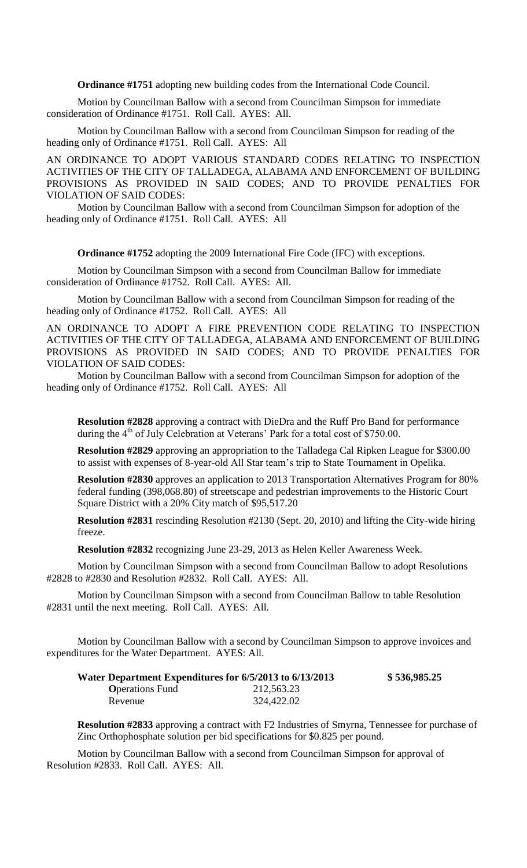**Ordinance #1751** adopting new building codes from the International Code Council.

Motion by Councilman Ballow with a second from Councilman Simpson for immediate consideration of Ordinance #1751. Roll Call. AYES: All.

Motion by Councilman Ballow with a second from Councilman Simpson for reading of the heading only of Ordinance #1751. Roll Call. AYES: All

AN ORDINANCE TO ADOPT VARIOUS STANDARD CODES RELATING TO INSPECTION ACTIVITIES OF THE CITY OF TALLADEGA, ALABAMA AND ENFORCEMENT OF BUILDING PROVISIONS AS PROVIDED IN SAID CODES; AND TO PROVIDE PENALTIES FOR VIOLATION OF SAID CODES:

Motion by Councilman Ballow with a second from Councilman Simpson for adoption of the heading only of Ordinance #1751. Roll Call. AYES: All

**Ordinance #1752** adopting the 2009 International Fire Code (IFC) with exceptions.

Motion by Councilman Simpson with a second from Councilman Ballow for immediate consideration of Ordinance #1752. Roll Call. AYES: All.

Motion by Councilman Ballow with a second from Councilman Simpson for reading of the heading only of Ordinance #1752. Roll Call. AYES: All

AN ORDINANCE TO ADOPT A FIRE PREVENTION CODE RELATING TO INSPECTION ACTIVITIES OF THE CITY OF TALLADEGA, ALABAMA AND ENFORCEMENT OF BUILDING PROVISIONS AS PROVIDED IN SAID CODES; AND TO PROVIDE PENALTIES FOR VIOLATION OF SAID CODES:

Motion by Councilman Ballow with a second from Councilman Simpson for adoption of the heading only of Ordinance #1752. Roll Call. AYES: All

**Resolution #2828** approving a contract with DieDra and the Ruff Pro Band for performance during the  $4<sup>th</sup>$  of July Celebration at Veterans' Park for a total cost of \$750.00.

**Resolution #2829** approving an appropriation to the Talladega Cal Ripken League for \$300.00 to assist with expenses of 8-year-old All Star team's trip to State Tournament in Opelika.

**Resolution #2830** approves an application to 2013 Transportation Alternatives Program for 80% federal funding (398,068.80) of streetscape and pedestrian improvements to the Historic Court Square District with a 20% City match of \$95,517.20

**Resolution #2831** rescinding Resolution #2130 (Sept. 20, 2010) and lifting the City-wide hiring freeze.

**Resolution #2832** recognizing June 23-29, 2013 as Helen Keller Awareness Week.

Motion by Councilman Simpson with a second from Councilman Ballow to adopt Resolutions #2828 to #2830 and Resolution #2832. Roll Call. AYES: All.

Motion by Councilman Simpson with a second from Councilman Ballow to table Resolution #2831 until the next meeting. Roll Call. AYES: All.

Motion by Councilman Ballow with a second by Councilman Simpson to approve invoices and expenditures for the Water Department. AYES: All.

| Water Department Expenditures for 6/5/2013 to 6/13/2013 |            | \$536,985.25 |
|---------------------------------------------------------|------------|--------------|
| <b>O</b> perations Fund                                 | 212,563.23 |              |
| Revenue                                                 | 324,422.02 |              |

**Resolution #2833** approving a contract with F2 Industries of Smyrna, Tennessee for purchase of Zinc Orthophosphate solution per bid specifications for \$0.825 per pound.

Motion by Councilman Ballow with a second from Councilman Simpson for approval of Resolution #2833. Roll Call. AYES: All.